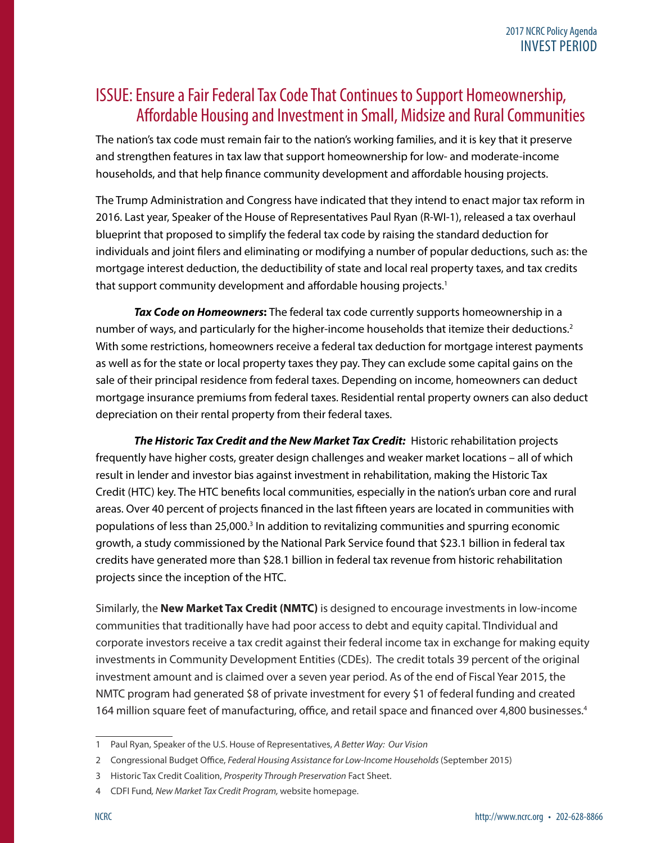## ISSUE: Ensure a Fair Federal Tax Code That Continues to Support Homeownership, Affordable Housing and Investment in Small, Midsize and Rural Communities

The nation's tax code must remain fair to the nation's working families, and it is key that it preserve and strengthen features in tax law that support homeownership for low- and moderate-income households, and that help finance community development and affordable housing projects.

The Trump Administration and Congress have indicated that they intend to enact major tax reform in 2016. Last year, Speaker of the House of Representatives Paul Ryan (R-WI-1), released a tax overhaul blueprint that proposed to simplify the federal tax code by raising the standard deduction for individuals and joint filers and eliminating or modifying a number of popular deductions, such as: the mortgage interest deduction, the deductibility of state and local real property taxes, and tax credits that support community development and affordable housing projects.<sup>1</sup>

*Tax Code on Homeowners***:** The federal tax code currently supports homeownership in a number of ways, and particularly for the higher-income households that itemize their deductions.<sup>2</sup> With some restrictions, homeowners receive a federal tax deduction for mortgage interest payments as well as for the state or local property taxes they pay. They can exclude some capital gains on the sale of their principal residence from federal taxes. Depending on income, homeowners can deduct mortgage insurance premiums from federal taxes. Residential rental property owners can also deduct depreciation on their rental property from their federal taxes.

*The Historic Tax Credit and the New Market Tax Credit:* Historic rehabilitation projects frequently have higher costs, greater design challenges and weaker market locations – all of which result in lender and investor bias against investment in rehabilitation, making the Historic Tax Credit (HTC) key. The HTC benefits local communities, especially in the nation's urban core and rural areas. Over 40 percent of projects financed in the last fifteen years are located in communities with populations of less than 25,000.<sup>3</sup> In addition to revitalizing communities and spurring economic growth, a study commissioned by the National Park Service found that \$23.1 billion in federal tax credits have generated more than \$28.1 billion in federal tax revenue from historic rehabilitation projects since the inception of the HTC.

Similarly, the **New Market Tax Credit (NMTC)** is designed to encourage investments in low-income communities that traditionally have had poor access to debt and equity capital. TIndividual and corporate investors receive a tax credit against their federal income tax in exchange for making equity investments in Community Development Entities (CDEs). The credit totals 39 percent of the original investment amount and is claimed over a seven year period. As of the end of Fiscal Year 2015, the NMTC program had generated \$8 of private investment for every \$1 of federal funding and created 164 million square feet of manufacturing, office, and retail space and financed over 4,800 businesses.4

<sup>1</sup> Paul Ryan, Speaker of the U.S. House of Representatives, *A Better Way: Our Vision* 

<sup>2</sup> Congressional Budget Office, *Federal Housing Assistance for Low-Income Households* (September 2015)

<sup>3</sup> Historic Tax Credit Coalition, *Prosperity Through Preservation* Fact Sheet.

<sup>4</sup> CDFI Fund*, New Market Tax Credit Program,* website homepage.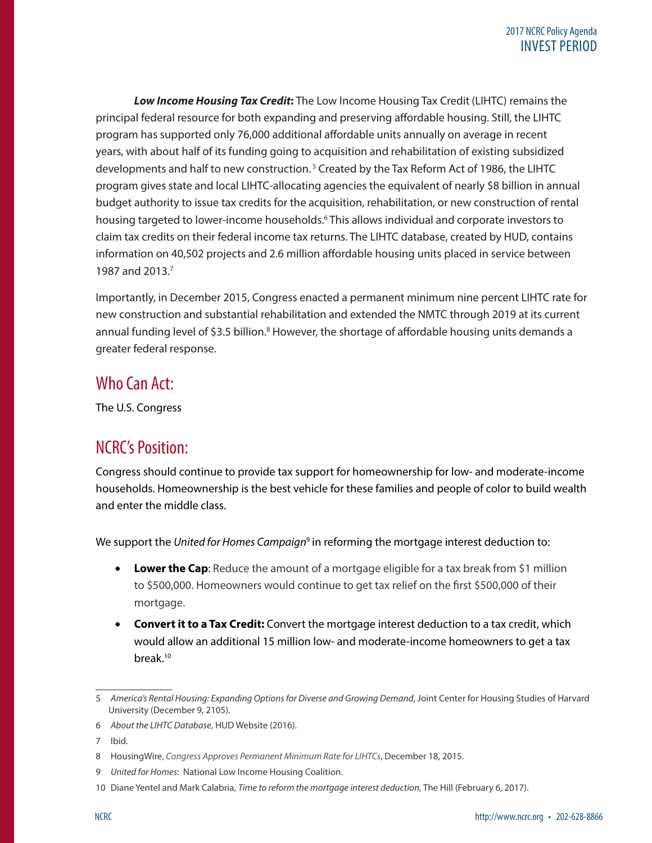*Low Income Housing Tax Credit***:** The Low Income Housing Tax Credit (LIHTC) remains the principal federal resource for both expanding and preserving affordable housing. Still, the LIHTC program has supported only 76,000 additional affordable units annually on average in recent years, with about half of its funding going to acquisition and rehabilitation of existing subsidized developments and half to new construction.<sup>5</sup> Created by the Tax Reform Act of 1986, the LIHTC program gives [state and local LIHTC-allocating agencies](http://lihtc.huduser.gov/agency_list.htm) the equivalent of nearly \$8 billion in annual budget authority to issue tax credits for the acquisition, rehabilitation, or new construction of rental housing targeted to lower-income households.<sup>6</sup> This allows individual and corporate investors to claim tax credits on their federal income tax returns. The LIHTC database, created by HUD, contains information on 40,502 projects and 2.6 million affordable housing units placed in service between 1987 and 2013.7

Importantly, in December 2015, Congress enacted a permanent minimum nine percent LIHTC rate for new construction and substantial rehabilitation and extended the NMTC through 2019 at its current annual funding level of \$3.5 billion.<sup>8</sup> However, the shortage of affordable housing units demands a greater federal response.

## Who Can Act:

The U.S. Congress

## NCRC's Position:

Congress should continue to provide tax support for homeownership for low- and moderate-income households. Homeownership is the best vehicle for these families and people of color to build wealth and enter the middle class.

We support the *United for Homes Campaign*<sup>9</sup> in reforming the mortgage interest deduction to:

- Lower the Cap: Reduce the amount of a mortgage eligible for a tax break from \$1 million to \$500,000. Homeowners would continue to get tax relief on the first \$500,000 of their mortgage.
- **Convert it to a Tax Credit:** Convert the mortgage interest deduction to a tax credit, which would allow an additional 15 million low- and moderate-income homeowners to get a tax break.10

7 Ibid.

<sup>5</sup> *America's Rental Housing: Expanding Options for Diverse and Growing Demand*, Joint Center for Housing Studies of Harvard University (December 9, 2105).

<sup>6</sup> *About the LIHTC Database*, HUD Website (2016).

<sup>8</sup> HousingWire, *Congress Approves Permanent Minimum Rate for LIHTCs*, December 18, 2015.

<sup>9</sup> *United for Homes*: National Low Income Housing Coalition.

<sup>10</sup> Diane Yentel and Mark Calabria, *Time to reform the mortgage interest deduction*, The Hill (February 6, 2017).